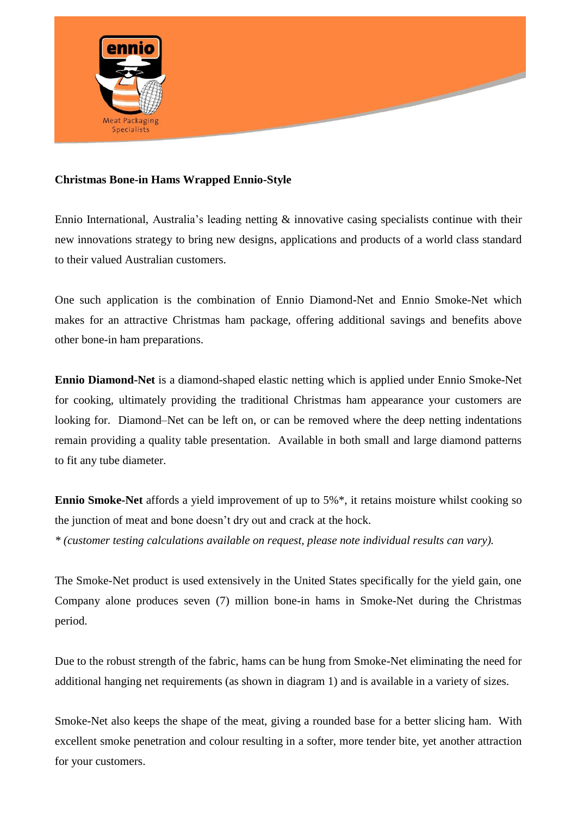

## **Christmas Bone-in Hams Wrapped Ennio-Style**

Ennio International, Australia's leading netting & innovative casing specialists continue with their new innovations strategy to bring new designs, applications and products of a world class standard to their valued Australian customers.

One such application is the combination of Ennio Diamond-Net and Ennio Smoke-Net which makes for an attractive Christmas ham package, offering additional savings and benefits above other bone-in ham preparations.

**Ennio Diamond-Net** is a diamond-shaped elastic netting which is applied under Ennio Smoke-Net for cooking, ultimately providing the traditional Christmas ham appearance your customers are looking for. Diamond–Net can be left on, or can be removed where the deep netting indentations remain providing a quality table presentation. Available in both small and large diamond patterns to fit any tube diameter.

**Ennio Smoke-Net** affords a yield improvement of up to 5%\*, it retains moisture whilst cooking so the junction of meat and bone doesn't dry out and crack at the hock. *\* (customer testing calculations available on request, please note individual results can vary).* 

The Smoke-Net product is used extensively in the United States specifically for the yield gain, one Company alone produces seven (7) million bone-in hams in Smoke-Net during the Christmas period.

Due to the robust strength of the fabric, hams can be hung from Smoke-Net eliminating the need for additional hanging net requirements (as shown in diagram 1) and is available in a variety of sizes.

Smoke-Net also keeps the shape of the meat, giving a rounded base for a better slicing ham. With excellent smoke penetration and colour resulting in a softer, more tender bite, yet another attraction for your customers.